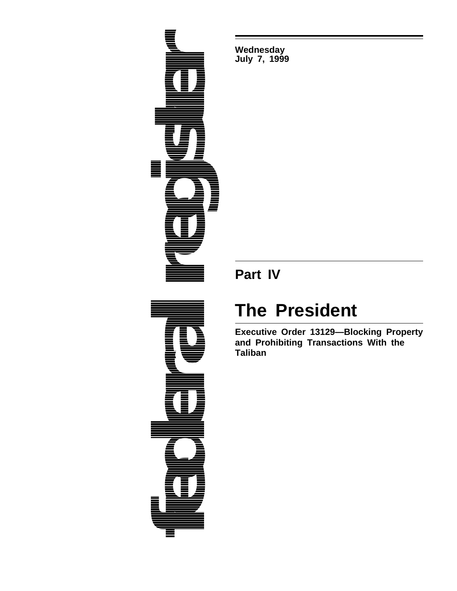

**Wednesday July 7, 1999**

## **Part IV**

## **The President**

**Executive Order 13129—Blocking Property and Prohibiting Transactions With the Taliban**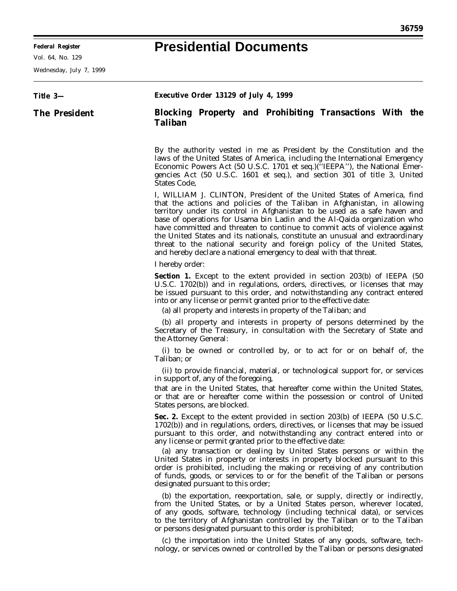$\equiv$ 

## **Presidential Documents**

۳

Wednesday, July 7, 1999

| Title 3-             | Executive Order 13129 of July 4, 1999                                                                                                                                                                                                                                                                                                                                                                                                                                                                                                                                                                                      |
|----------------------|----------------------------------------------------------------------------------------------------------------------------------------------------------------------------------------------------------------------------------------------------------------------------------------------------------------------------------------------------------------------------------------------------------------------------------------------------------------------------------------------------------------------------------------------------------------------------------------------------------------------------|
| <b>The President</b> | Blocking Property and Prohibiting Transactions With the<br><b>Taliban</b>                                                                                                                                                                                                                                                                                                                                                                                                                                                                                                                                                  |
|                      | By the authority vested in me as President by the Constitution and the<br>laws of the United States of America, including the International Emergency<br>Economic Powers Act (50 U.S.C. 1701 et seq.) ("IEEPA"), the National Emer-<br>gencies Act (50 U.S.C. 1601 et seq.), and section 301 of title 3, United<br>States Code,                                                                                                                                                                                                                                                                                            |
|                      | I, WILLIAM J. CLINTON, President of the United States of America, find<br>that the actions and policies of the Taliban in Afghanistan, in allowing<br>territory under its control in Afghanistan to be used as a safe haven and<br>base of operations for Usama bin Ladin and the Al-Qaida organization who<br>have committed and threaten to continue to commit acts of violence against<br>the United States and its nationals, constitute an unusual and extraordinary<br>threat to the national security and foreign policy of the United States,<br>and hereby declare a national emergency to deal with that threat. |
|                      | I hereby order:                                                                                                                                                                                                                                                                                                                                                                                                                                                                                                                                                                                                            |
|                      | <b>Section 1.</b> Except to the extent provided in section 203(b) of IEEPA (50)<br>U.S.C. 1702(b)) and in regulations, orders, directives, or licenses that may<br>be issued pursuant to this order, and notwithstanding any contract entered<br>into or any license or permit granted prior to the effective date:<br>(a) all property and interests in property of the Taliban; and                                                                                                                                                                                                                                      |
|                      | (b) all property and interests in property of persons determined by the<br>Secretary of the Treasury, in consultation with the Secretary of State and<br>the Attorney General:                                                                                                                                                                                                                                                                                                                                                                                                                                             |
|                      | (i) to be owned or controlled by, or to act for or on behalf of, the<br>Taliban; or                                                                                                                                                                                                                                                                                                                                                                                                                                                                                                                                        |
|                      | (ii) to provide financial, material, or technological support for, or services<br>in support of, any of the foregoing,<br>that are in the United States, that hereafter come within the United States,                                                                                                                                                                                                                                                                                                                                                                                                                     |
|                      | or that are or hereafter come within the possession or control of United<br>States persons, are blocked.                                                                                                                                                                                                                                                                                                                                                                                                                                                                                                                   |
|                      | Sec. 2. Except to the extent provided in section 203(b) of IEEPA (50 U.S.C.<br>1702(b)) and in regulations, orders, directives, or licenses that may be issued<br>pursuant to this order, and notwithstanding any contract entered into or<br>any license or permit granted prior to the effective date:                                                                                                                                                                                                                                                                                                                   |
|                      | (a) any transaction or dealing by United States persons or within the<br>United States in property or interests in property blocked pursuant to this<br>order is prohibited, including the making or receiving of any contribution<br>of funds, goods, or services to or for the benefit of the Taliban or persons<br>designated pursuant to this order;                                                                                                                                                                                                                                                                   |
|                      | (b) the exportation, reexportation, sale, or supply, directly or indirectly,<br>from the United States, or by a United States person, wherever located,<br>of any goods, software, technology (including technical data), or services<br>to the territory of Afghanistan controlled by the Taliban or to the Taliban<br>or persons designated pursuant to this order is prohibited;                                                                                                                                                                                                                                        |
|                      | (c) the importation into the United States of any goods, software, tech-<br>nology, or services owned or controlled by the Taliban or persons designated                                                                                                                                                                                                                                                                                                                                                                                                                                                                   |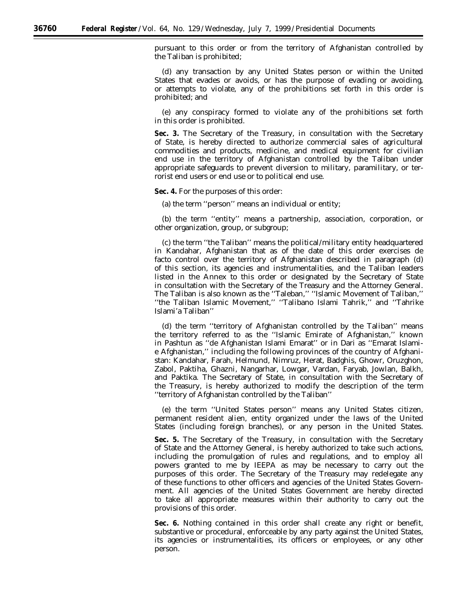pursuant to this order or from the territory of Afghanistan controlled by the Taliban is prohibited;

(d) any transaction by any United States person or within the United States that evades or avoids, or has the purpose of evading or avoiding, or attempts to violate, any of the prohibitions set forth in this order is prohibited; and

(e) any conspiracy formed to violate any of the prohibitions set forth in this order is prohibited.

**Sec. 3.** The Secretary of the Treasury, in consultation with the Secretary of State, is hereby directed to authorize commercial sales of agricultural commodities and products, medicine, and medical equipment for civilian end use in the territory of Afghanistan controlled by the Taliban under appropriate safeguards to prevent diversion to military, paramilitary, or terrorist end users or end use or to political end use.

**Sec. 4.** For the purposes of this order:

(a) the term ''person'' means an individual or entity;

(b) the term ''entity'' means a partnership, association, corporation, or other organization, group, or subgroup;

(c) the term ''the Taliban'' means the political/military entity headquartered in Kandahar, Afghanistan that as of the date of this order exercises de facto control over the territory of Afghanistan described in paragraph (d) of this section, its agencies and instrumentalities, and the Taliban leaders listed in the Annex to this order or designated by the Secretary of State in consultation with the Secretary of the Treasury and the Attorney General. The Taliban is also known as the ''Taleban,'' ''Islamic Movement of Taliban,'' ''the Taliban Islamic Movement,'' ''Talibano Islami Tahrik,'' and ''Tahrike Islami'a Taliban''

(d) the term ''territory of Afghanistan controlled by the Taliban'' means the territory referred to as the ''Islamic Emirate of Afghanistan,'' known in Pashtun as ''de Afghanistan Islami Emarat'' or in Dari as ''Emarat Islamie Afghanistan,'' including the following provinces of the country of Afghanistan: Kandahar, Farah, Helmund, Nimruz, Herat, Badghis, Ghowr, Oruzghon, Zabol, Paktiha, Ghazni, Nangarhar, Lowgar, Vardan, Faryab, Jowlan, Balkh, and Paktika. The Secretary of State, in consultation with the Secretary of the Treasury, is hereby authorized to modify the description of the term ''territory of Afghanistan controlled by the Taliban''

(e) the term ''United States person'' means any United States citizen, permanent resident alien, entity organized under the laws of the United States (including foreign branches), or any person in the United States.

**Sec. 5.** The Secretary of the Treasury, in consultation with the Secretary of State and the Attorney General, is hereby authorized to take such actions, including the promulgation of rules and regulations, and to employ all powers granted to me by IEEPA as may be necessary to carry out the purposes of this order. The Secretary of the Treasury may redelegate any of these functions to other officers and agencies of the United States Government. All agencies of the United States Government are hereby directed to take all appropriate measures within their authority to carry out the provisions of this order.

**Sec. 6.** Nothing contained in this order shall create any right or benefit, substantive or procedural, enforceable by any party against the United States, its agencies or instrumentalities, its officers or employees, or any other person.